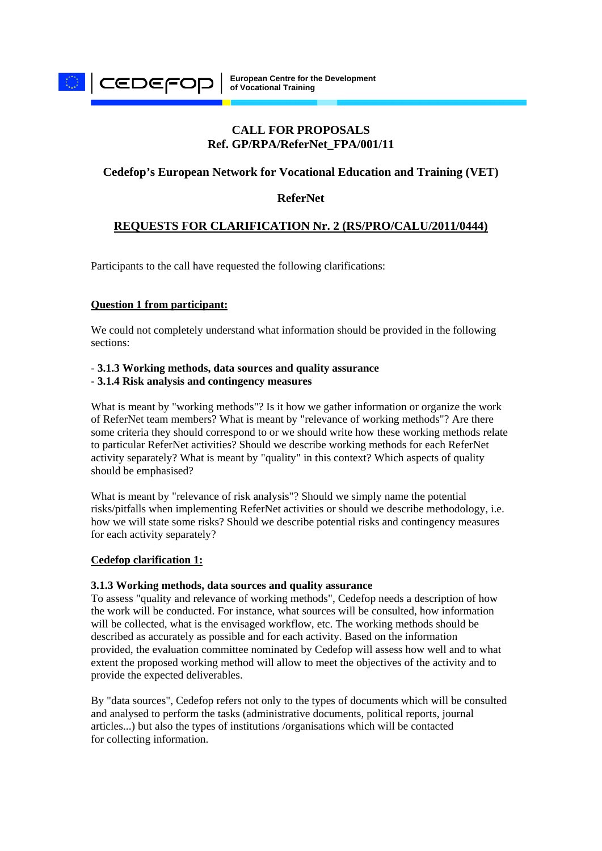

# **CALL FOR PROPOSALS Ref. GP/RPA/ReferNet\_FPA/001/11**

# **Cedefop's European Network for Vocational Education and Training (VET)**

# **ReferNet**

# **REQUESTS FOR CLARIFICATION Nr. 2 (RS/PRO/CALU/2011/0444)**

Participants to the call have requested the following clarifications:

### **Question 1 from participant:**

We could not completely understand what information should be provided in the following sections:

#### - **3.1.3 Working methods, data sources and quality assurance - 3.1.4 Risk analysis and contingency measures**

What is meant by "working methods"? Is it how we gather information or organize the work of ReferNet team members? What is meant by "relevance of working methods"? Are there some criteria they should correspond to or we should write how these working methods relate to particular ReferNet activities? Should we describe working methods for each ReferNet activity separately? What is meant by "quality" in this context? Which aspects of quality should be emphasised?

What is meant by "relevance of risk analysis"? Should we simply name the potential risks/pitfalls when implementing ReferNet activities or should we describe methodology, i.e. how we will state some risks? Should we describe potential risks and contingency measures for each activity separately?

#### **Cedefop clarification 1:**

#### **3.1.3 Working methods, data sources and quality assurance**

To assess "quality and relevance of working methods", Cedefop needs a description of how the work will be conducted. For instance, what sources will be consulted, how information will be collected, what is the envisaged workflow, etc. The working methods should be described as accurately as possible and for each activity. Based on the information provided, the evaluation committee nominated by Cedefop will assess how well and to what extent the proposed working method will allow to meet the objectives of the activity and to provide the expected deliverables.

By "data sources", Cedefop refers not only to the types of documents which will be consulted and analysed to perform the tasks (administrative documents, political reports, journal articles...) but also the types of institutions /organisations which will be contacted for collecting information.